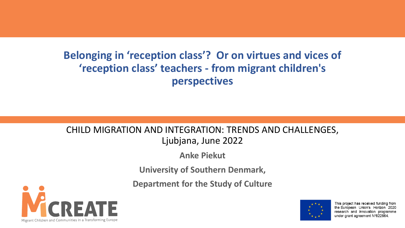#### **Belonging in 'reception class'? Or on virtues and vices of 'reception class' teachers - from migrant children's perspectives**

#### CHILD MIGRATION AND INTEGRATION: TRENDS AND CHALLENGES, Ljubjana, June 2022

**Anke Piekut**

**University of Southern Denmark,** 

**Department for the Study of Culture**





This project has received funding from the European Union's Horizon 2020 research and innovation programme under grant agreement N°822664.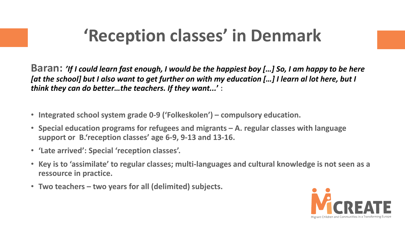## **'Reception classes' in Denmark**

**Baran:** *'If I could learn fast enough, I would be the happiest boy […] So, I am happy to be here [at the school] but I also want to get further on with my education […] I learn al lot here, but I think they can do better…the teachers. If they want...***' :**

- **Integrated school system grade 0-9 ('Folkeskolen') – compulsory education.**
- **Special education programs for refugees and migrants – A. regular classes with language support or B.'reception classes' age 6-9, 9-13 and 13-16.**
- **'Late arrived': Special 'reception classes'.**
- **Key is to 'assimilate' to regular classes; multi-languages and cultural knowledge is not seen as a ressource in practice.**
- **Two teachers – two years for all (delimited) subjects.**

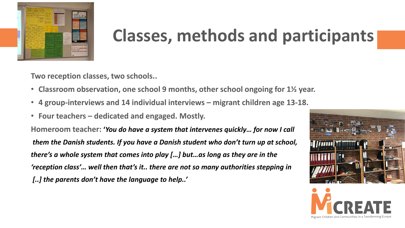

## **Classes, methods and participants**

**Two reception classes, two schools..**

- **Classroom observation, one school 9 months, other school ongoing for 1½ year.**
- **4 group-interviews and 14 individual interviews – migrant children age 13-18.**
- **Four teachers – dedicated and engaged. Mostly.**

**Homeroom teacher: '***You do have a system that intervenes quickly… for now I call them the Danish students. If you have a Danish student who don't turn up at school, there's a whole system that comes into play […] but…as long as they are in the 'reception class'… well then that's it.. there are not so many authorities stepping in [..] the parents don't have the language to help..'*



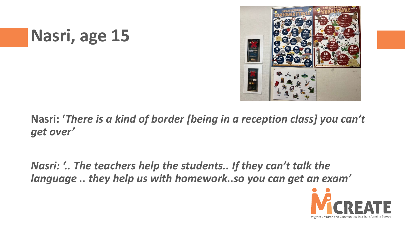## **Nasri, age 15**



**Nasri: '***There is a kind of border [being in a reception class] you can't get over'*

*Nasri: '.. The teachers help the students.. If they can't talk the language .. they help us with homework..so you can get an exam'*

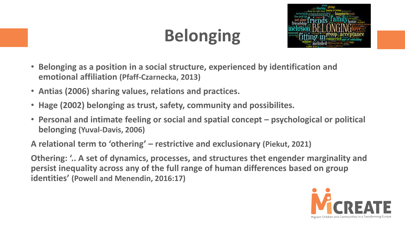# **Belonging**



- **Belonging as a position in a social structure, experienced by identification and emotional affiliation (Pfaff-Czarnecka, 2013)**
- **Antias (2006) sharing values, relations and practices.**
- **Hage (2002) belonging as trust, safety, community and possibilites.**
- **Personal and intimate feeling or social and spatial concept – psychological or political belonging (Yuval-Davis, 2006)**

**A relational term to 'othering' – restrictive and exclusionary (Piekut, 2021)**

**Othering: '.. A set of dynamics, processes, and structures thet engender marginality and persist inequality across any of the full range of human differences based on group identities' (Powell and Menendin, 2016:17)**

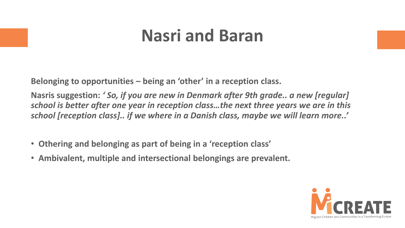## **Nasri and Baran**

**Belonging to opportunities – being an 'other' in a reception class.**

**Nasris suggestion:** *' So, if you are new in Denmark after 9th grade.. a new [regular] school is better after one year in reception class…the next three years we are in this school [reception class].. if we where in a Danish class, maybe we will learn more..'*

- **Othering and belonging as part of being in a 'reception class'**
- **Ambivalent, multiple and intersectional belongings are prevalent.**

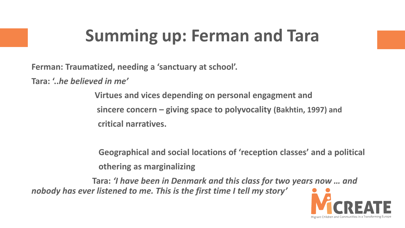## **Summing up: Ferman and Tara**

**Ferman: Traumatized, needing a 'sanctuary at school'.**

**Tara: '..***he believed in me'*

**Virtues and vices depending on personal engagment and sincere concern – giving space to polyvocality (Bakhtin, 1997) and critical narratives.**

**Geographical and social locations of 'reception classes' and a political othering as marginalizing**

**Tara:** *'I have been in Denmark and this class for two years now … and nobody has ever listened to me. This is the first time I tell my story'*